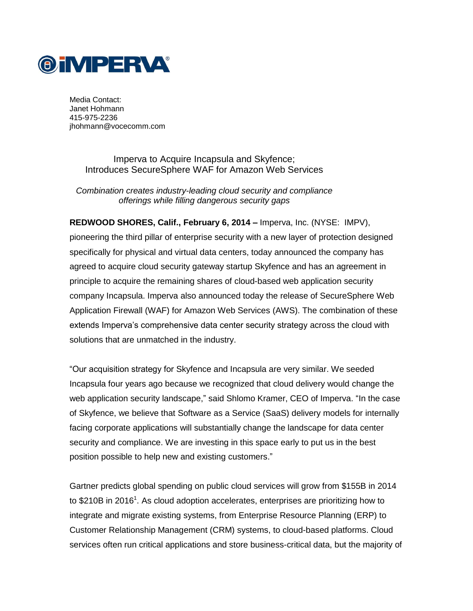

Media Contact: Janet Hohmann 415-975-2236 jhohmann@vocecomm.com

> Imperva to Acquire Incapsula and Skyfence; Introduces SecureSphere WAF for Amazon Web Services

*Combination creates industry-leading cloud security and compliance offerings while filling dangerous security gaps*

**REDWOOD SHORES, Calif., February 6, 2014 –** [Imperva,](http://www.imperva.com/) Inc. (NYSE: IMPV), pioneering the third pillar of enterprise security with a new layer of protection designed specifically for physical and virtual data centers, today announced the company has agreed to acquire cloud security gateway startup Skyfence and has an agreement in principle to acquire the remaining shares of cloud-based web application security company Incapsula. Imperva also announced today the release of SecureSphere Web Application Firewall (WAF) for Amazon Web Services (AWS). The combination of these extends Imperva's comprehensive data center security strategy across the cloud with solutions that are unmatched in the industry.

"Our acquisition strategy for Skyfence and Incapsula are very similar. We seeded Incapsula four years ago because we recognized that cloud delivery would change the web application security landscape," said Shlomo Kramer, CEO of Imperva. "In the case of Skyfence, we believe that Software as a Service (SaaS) delivery models for internally facing corporate applications will substantially change the landscape for data center security and compliance. We are investing in this space early to put us in the best position possible to help new and existing customers."

Gartner predicts global spending on public cloud services will grow from \$155B in 2014 to \$210B in 2016<sup>1</sup>. As cloud adoption accelerates, enterprises are prioritizing how to integrate and migrate existing systems, from Enterprise Resource Planning (ERP) to Customer Relationship Management (CRM) systems, to cloud-based platforms. Cloud services often run critical applications and store business-critical data, but the majority of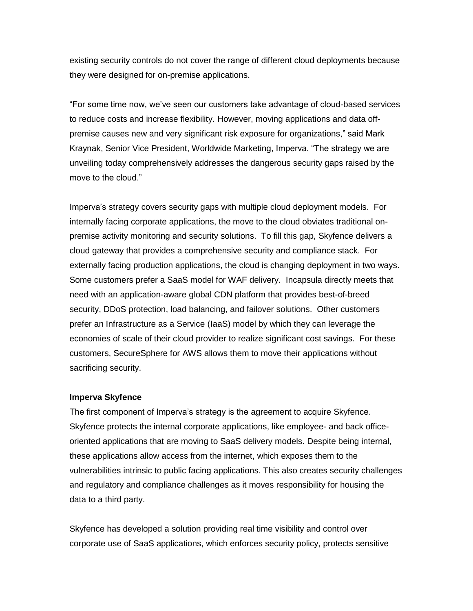existing security controls do not cover the range of different cloud deployments because they were designed for on-premise applications.

"For some time now, we've seen our customers take advantage of cloud-based services to reduce costs and increase flexibility. However, moving applications and data offpremise causes new and very significant risk exposure for organizations," said Mark Kraynak, Senior Vice President, Worldwide Marketing, Imperva. "The strategy we are unveiling today comprehensively addresses the dangerous security gaps raised by the move to the cloud."

Imperva's strategy covers security gaps with multiple cloud deployment models. For internally facing corporate applications, the move to the cloud obviates traditional onpremise activity monitoring and security solutions. To fill this gap, Skyfence delivers a cloud gateway that provides a comprehensive security and compliance stack. For externally facing production applications, the cloud is changing deployment in two ways. Some customers prefer a SaaS model for WAF delivery. Incapsula directly meets that need with an application-aware global CDN platform that provides best-of-breed security, DDoS protection, load balancing, and failover solutions. Other customers prefer an Infrastructure as a Service (IaaS) model by which they can leverage the economies of scale of their cloud provider to realize significant cost savings. For these customers, SecureSphere for AWS allows them to move their applications without sacrificing security.

#### **Imperva Skyfence**

The first component of Imperva's strategy is the agreement to acquire Skyfence. Skyfence protects the internal corporate applications, like employee- and back officeoriented applications that are moving to SaaS delivery models. Despite being internal, these applications allow access from the internet, which exposes them to the vulnerabilities intrinsic to public facing applications. This also creates security challenges and regulatory and compliance challenges as it moves responsibility for housing the data to a third party.

Skyfence has developed a solution providing real time visibility and control over corporate use of SaaS applications, which enforces security policy, protects sensitive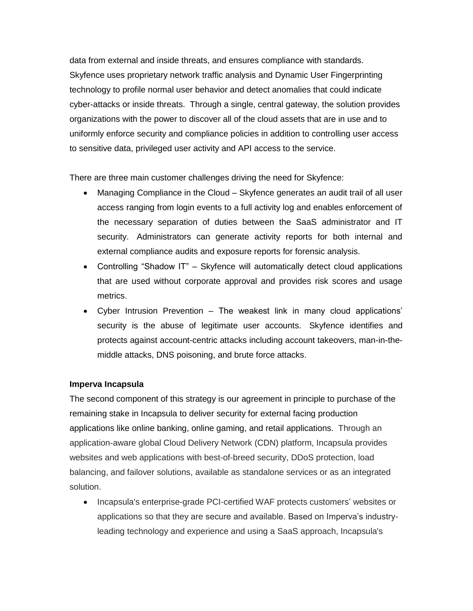data from external and inside threats, and ensures compliance with standards. Skyfence uses proprietary network traffic analysis and Dynamic User Fingerprinting technology to profile normal user behavior and detect anomalies that could indicate cyber-attacks or inside threats. Through a single, central gateway, the solution provides organizations with the power to discover all of the cloud assets that are in use and to uniformly enforce security and compliance policies in addition to controlling user access to sensitive data, privileged user activity and API access to the service.

There are three main customer challenges driving the need for Skyfence:

- Managing Compliance in the Cloud Skyfence generates an audit trail of all user access ranging from login events to a full activity log and enables enforcement of the necessary separation of duties between the SaaS administrator and IT security. Administrators can generate activity reports for both internal and external compliance audits and exposure reports for forensic analysis.
- Controlling "Shadow IT" Skyfence will automatically detect cloud applications that are used without corporate approval and provides risk scores and usage metrics.
- Cyber Intrusion Prevention The weakest link in many cloud applications' security is the abuse of legitimate user accounts. Skyfence identifies and protects against account-centric attacks including account takeovers, man-in-themiddle attacks, DNS poisoning, and brute force attacks.

# **Imperva Incapsula**

The second component of this strategy is our agreement in principle to purchase of the remaining stake in Incapsula to deliver security for external facing production applications like online banking, online gaming, and retail applications. Through an application-aware global Cloud Delivery Network (CDN) platform, Incapsula provides websites and web applications with best-of-breed security, DDoS protection, load balancing, and failover solutions, available as standalone services or as an integrated solution.

• Incapsula's enterprise-grade PCI-certified WAF protects customers' websites or applications so that they are secure and available. Based on Imperva's industryleading technology and experience and using a SaaS approach, Incapsula's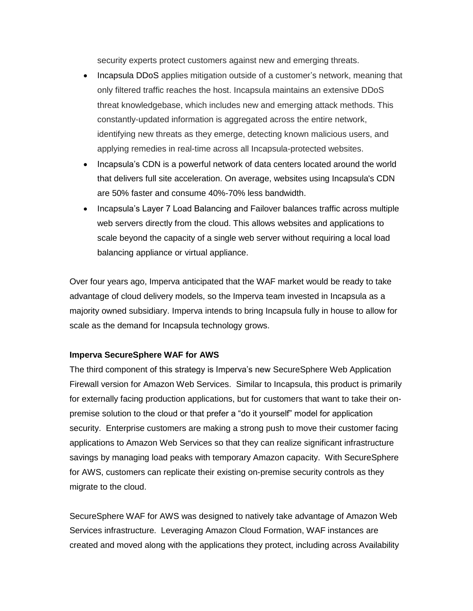security experts protect customers against new and emerging threats.

- Incapsula DDoS applies mitigation outside of a customer's network, meaning that only filtered traffic reaches the host. Incapsula maintains an extensive DDoS threat knowledgebase, which includes new and emerging attack methods. This constantly-updated information is aggregated across the entire network, identifying new threats as they emerge, detecting known malicious users, and applying remedies in real-time across all Incapsula-protected websites.
- Incapsula's CDN is a powerful network of data centers located around the world that delivers full site acceleration. On average, websites using Incapsula's CDN are 50% faster and consume 40%-70% less bandwidth.
- Incapsula's Layer 7 Load Balancing and Failover balances traffic across multiple web servers directly from the cloud. This allows websites and applications to scale beyond the capacity of a single web server without requiring a local load balancing appliance or virtual appliance.

Over four years ago, Imperva anticipated that the WAF market would be ready to take advantage of cloud delivery models, so the Imperva team invested in Incapsula as a majority owned subsidiary. Imperva intends to bring Incapsula fully in house to allow for scale as the demand for Incapsula technology grows.

# **Imperva SecureSphere WAF for AWS**

The third component of this strategy is Imperva's new SecureSphere Web Application Firewall version for Amazon Web Services. Similar to Incapsula, this product is primarily for externally facing production applications, but for customers that want to take their onpremise solution to the cloud or that prefer a "do it yourself" model for application security. Enterprise customers are making a strong push to move their customer facing applications to Amazon Web Services so that they can realize significant infrastructure savings by managing load peaks with temporary Amazon capacity. With SecureSphere for AWS, customers can replicate their existing on-premise security controls as they migrate to the cloud.

SecureSphere WAF for AWS was designed to natively take advantage of Amazon Web Services infrastructure. Leveraging Amazon Cloud Formation, WAF instances are created and moved along with the applications they protect, including across Availability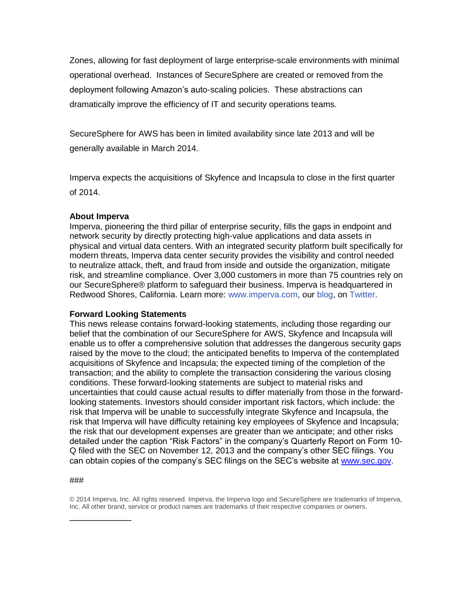Zones, allowing for fast deployment of large enterprise-scale environments with minimal operational overhead. Instances of SecureSphere are created or removed from the deployment following Amazon's auto-scaling policies. These abstractions can dramatically improve the efficiency of IT and security operations teams.

SecureSphere for AWS has been in limited availability since late 2013 and will be generally available in March 2014.

Imperva expects the acquisitions of Skyfence and Incapsula to close in the first quarter of 2014.

### **About Imperva**

Imperva, pioneering the third pillar of enterprise security, fills the gaps in endpoint and network security by directly protecting high-value applications and data assets in physical and virtual data centers. With an integrated security platform built specifically for modern threats, Imperva data center security provides the visibility and control needed to neutralize attack, theft, and fraud from inside and outside the organization, mitigate risk, and streamline compliance. Over 3,000 customers in more than 75 countries rely on our SecureSphere® platform to safeguard their business. Imperva is headquartered in Redwood Shores, California. Learn more: [www.imperva.com,](http://cts.businesswire.com/ct/CT?id=smartlink&url=http%3A%2F%2Fwww.imperva.com%2F&esheet=50744444&newsitemid=20131105006900&lan=en-US&anchor=www.imperva.com&index=5&md5=df304ad099aae5d48d95ae8263c83723) our [blog,](http://cts.businesswire.com/ct/CT?id=smartlink&url=http%3A%2F%2Fblog.imperva.com%2F&esheet=50744444&newsitemid=20131105006900&lan=en-US&anchor=blog&index=6&md5=010da1351e4c7ad11d145db368f8d49e) on [Twitter.](http://cts.businesswire.com/ct/CT?id=smartlink&url=http%3A%2F%2Fwww.twitter.com%2Fimperva%2F&esheet=50744444&newsitemid=20131105006900&lan=en-US&anchor=Twitter&index=7&md5=0ab2228ffdfc775afac9cb1f67d16785)

# **Forward Looking Statements**

This news release contains forward-looking statements, including those regarding our belief that the combination of our SecureSphere for AWS, Skyfence and Incapsula will enable us to offer a comprehensive solution that addresses the dangerous security gaps raised by the move to the cloud; the anticipated benefits to Imperva of the contemplated acquisitions of Skyfence and Incapsula; the expected timing of the completion of the transaction; and the ability to complete the transaction considering the various closing conditions. These forward-looking statements are subject to material risks and uncertainties that could cause actual results to differ materially from those in the forwardlooking statements. Investors should consider important risk factors, which include: the risk that Imperva will be unable to successfully integrate Skyfence and Incapsula, the risk that Imperva will have difficulty retaining key employees of Skyfence and Incapsula; the risk that our development expenses are greater than we anticipate; and other risks detailed under the caption "Risk Factors" in the company's Quarterly Report on Form 10- Q filed with the SEC on November 12, 2013 and the company's other SEC filings. You can obtain copies of the company's SEC filings on the SEC's website at [www.sec.gov.](http://www.sec.gov/)

#### ###

\_\_\_\_\_\_\_\_\_\_\_\_

© 2014 Imperva, Inc. All rights reserved. Imperva, the Imperva logo and SecureSphere are trademarks of Imperva, Inc. All other brand, service or product names are trademarks of their respective companies or owners.